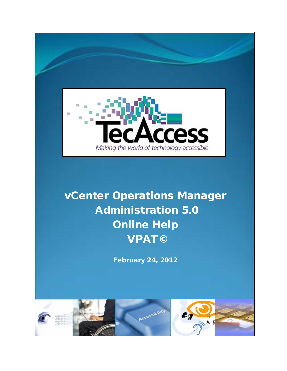

# vCenter Operations Manager Administration 5.0 Online Help VPAT©

February 24, 2012

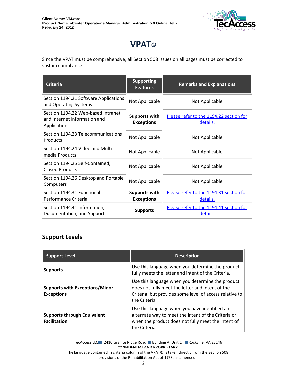

# **VPAT©**

Since the VPAT must be comprehensive, all Section 508 issues on all pages must be corrected to sustain compliance.

| <b>Criteria</b>                                                                    | <b>Supporting</b><br><b>Features</b>      | <b>Remarks and Explanations</b>                     |
|------------------------------------------------------------------------------------|-------------------------------------------|-----------------------------------------------------|
| Section 1194.21 Software Applications<br>and Operating Systems                     | Not Applicable                            | Not Applicable                                      |
| Section 1194.22 Web-based Intranet<br>and Internet Information and<br>Applications | <b>Supports with</b><br><b>Exceptions</b> | Please refer to the 1194.22 section for<br>details. |
| Section 1194.23 Telecommunications<br>Products                                     | Not Applicable                            | Not Applicable                                      |
| Section 1194.24 Video and Multi-<br>media Products                                 | Not Applicable                            | Not Applicable                                      |
| Section 1194.25 Self-Contained,<br><b>Closed Products</b>                          | Not Applicable                            | Not Applicable                                      |
| Section 1194.26 Desktop and Portable<br>Computers                                  | Not Applicable                            | Not Applicable                                      |
| Section 1194.31 Functional<br>Performance Criteria                                 | <b>Supports with</b><br><b>Exceptions</b> | Please refer to the 1194.31 section for<br>details. |
| Section 1194.41 Information,<br>Documentation, and Support                         | <b>Supports</b>                           | Please refer to the 1194.41 section for<br>details. |

#### **Support Levels**

| <b>Support Level</b>                                       | <b>Description</b>                                                                                                                                                               |
|------------------------------------------------------------|----------------------------------------------------------------------------------------------------------------------------------------------------------------------------------|
| <b>Supports</b>                                            | Use this language when you determine the product<br>fully meets the letter and intent of the Criteria.                                                                           |
| <b>Supports with Exceptions/Minor</b><br><b>Exceptions</b> | Use this language when you determine the product<br>does not fully meet the letter and intent of the<br>Criteria, but provides some level of access relative to<br>the Criteria. |
| <b>Supports through Equivalent</b><br><b>Facilitation</b>  | Use this language when you have identified an<br>alternate way to meet the intent of the Criteria or<br>when the product does not fully meet the intent of<br>the Criteria.      |

TecAccess LLC 2410 Granite Ridge Road Building A, Unit 1 Rockville, VA 23146 **CONFIDENTIAL AND PROPRIETARY**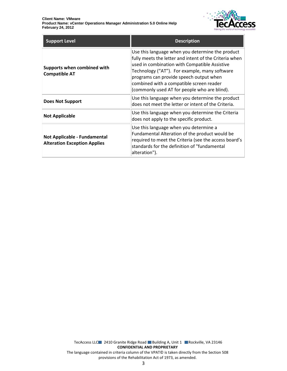

| <b>Support Level</b>                                                | <b>Description</b>                                                                                                                                                                                                                                                                                                                                  |
|---------------------------------------------------------------------|-----------------------------------------------------------------------------------------------------------------------------------------------------------------------------------------------------------------------------------------------------------------------------------------------------------------------------------------------------|
| Supports when combined with<br><b>Compatible AT</b>                 | Use this language when you determine the product<br>fully meets the letter and intent of the Criteria when<br>used in combination with Compatible Assistive<br>Technology ("AT"). For example, many software<br>programs can provide speech output when<br>combined with a compatible screen reader<br>(commonly used AT for people who are blind). |
| <b>Does Not Support</b>                                             | Use this language when you determine the product<br>does not meet the letter or intent of the Criteria.                                                                                                                                                                                                                                             |
| <b>Not Applicable</b>                                               | Use this language when you determine the Criteria<br>does not apply to the specific product.                                                                                                                                                                                                                                                        |
| Not Applicable - Fundamental<br><b>Alteration Exception Applies</b> | Use this language when you determine a<br>Fundamental Alteration of the product would be<br>required to meet the Criteria (see the access board's<br>standards for the definition of "fundamental<br>alteration").                                                                                                                                  |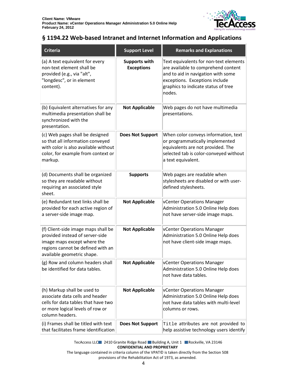

#### <span id="page-3-0"></span>**§ 1194.22 Web-based Intranet and Internet Information and Applications**

| <b>Criteria</b>                                                                                                                                                          | <b>Support Level</b>                      | <b>Remarks and Explanations</b>                                                                                                                                                                        |
|--------------------------------------------------------------------------------------------------------------------------------------------------------------------------|-------------------------------------------|--------------------------------------------------------------------------------------------------------------------------------------------------------------------------------------------------------|
| (a) A text equivalent for every<br>non-text element shall be<br>provided (e.g., via "alt",<br>"longdesc", or in element<br>content).                                     | <b>Supports with</b><br><b>Exceptions</b> | Text equivalents for non-text elements<br>are available to comprehend content<br>and to aid in navigation with some<br>exceptions. Exceptions include<br>graphics to indicate status of tree<br>nodes. |
| (b) Equivalent alternatives for any<br>multimedia presentation shall be<br>synchronized with the<br>presentation.                                                        | <b>Not Applicable</b>                     | Web pages do not have multimedia<br>presentations.                                                                                                                                                     |
| (c) Web pages shall be designed<br>so that all information conveyed<br>with color is also available without<br>color, for example from context or<br>markup.             | <b>Does Not Support</b>                   | When color conveys information, text<br>or programmatically implemented<br>equivalents are not provided. The<br>selected tab is color-conveyed without<br>a text equivalent.                           |
| (d) Documents shall be organized<br>so they are readable without<br>requiring an associated style<br>sheet.                                                              | <b>Supports</b>                           | Web pages are readable when<br>stylesheets are disabled or with user-<br>defined stylesheets.                                                                                                          |
| (e) Redundant text links shall be<br>provided for each active region of<br>a server-side image map.                                                                      | <b>Not Applicable</b>                     | vCenter Operations Manager<br>Administration 5.0 Online Help does<br>not have server-side image maps.                                                                                                  |
| (f) Client-side image maps shall be<br>provided instead of server-side<br>image maps except where the<br>regions cannot be defined with an<br>available geometric shape. | <b>Not Applicable</b>                     | vCenter Operations Manager<br>Administration 5.0 Online Help does<br>not have client-side image maps.                                                                                                  |
| (g) Row and column headers shall<br>be identified for data tables.                                                                                                       | <b>Not Applicable</b>                     | <b>VCenter Operations Manager</b><br>Administration 5.0 Online Help does<br>not have data tables.                                                                                                      |
| (h) Markup shall be used to<br>associate data cells and header<br>cells for data tables that have two<br>or more logical levels of row or<br>column headers.             | <b>Not Applicable</b>                     | <b>vCenter Operations Manager</b><br>Administration 5.0 Online Help does<br>not have data tables with multi-level<br>columns or rows.                                                                  |
| (i) Frames shall be titled with text<br>that facilitates frame identification                                                                                            | <b>Does Not Support</b>                   | Title attributes are not provided to<br>help assistive technology users identify                                                                                                                       |

TecAccess LLC 2410 Granite Ridge Road Building A, Unit 1 Rockville, VA 23146 **CONFIDENTIAL AND PROPRIETARY**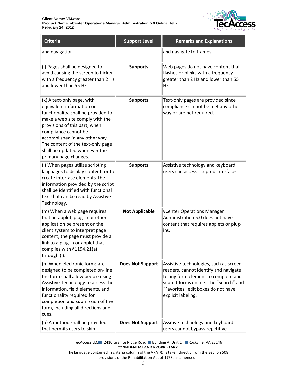

| Criteria                                                                                                                                                                                                                                                                                                                    | <b>Support Level</b>    | <b>Remarks and Explanations</b>                                                                                                                                                                                             |
|-----------------------------------------------------------------------------------------------------------------------------------------------------------------------------------------------------------------------------------------------------------------------------------------------------------------------------|-------------------------|-----------------------------------------------------------------------------------------------------------------------------------------------------------------------------------------------------------------------------|
| and navigation                                                                                                                                                                                                                                                                                                              |                         | and navigate to frames.                                                                                                                                                                                                     |
| (j) Pages shall be designed to<br>avoid causing the screen to flicker<br>with a frequency greater than 2 Hz<br>and lower than 55 Hz.                                                                                                                                                                                        | <b>Supports</b>         | Web pages do not have content that<br>flashes or blinks with a frequency<br>greater than 2 Hz and lower than 55<br>Hz.                                                                                                      |
| (k) A text-only page, with<br>equivalent information or<br>functionality, shall be provided to<br>make a web site comply with the<br>provisions of this part, when<br>compliance cannot be<br>accomplished in any other way.<br>The content of the text-only page<br>shall be updated whenever the<br>primary page changes. | <b>Supports</b>         | Text-only pages are provided since<br>compliance cannot be met any other<br>way or are not required.                                                                                                                        |
| (I) When pages utilize scripting<br>languages to display content, or to<br>create interface elements, the<br>information provided by the script<br>shall be identified with functional<br>text that can be read by Assistive<br>Technology.                                                                                 | <b>Supports</b>         | Assistive technology and keyboard<br>users can access scripted interfaces.                                                                                                                                                  |
| (m) When a web page requires<br>that an applet, plug-in or other<br>application be present on the<br>client system to interpret page<br>content, the page must provide a<br>link to a plug-in or applet that<br>complies with $§1194.21(a)$<br>through (I).                                                                 | <b>Not Applicable</b>   | vCenter Operations Manager<br>Administration 5.0 does not have<br>content that requires applets or plug-<br>ins.                                                                                                            |
| (n) When electronic forms are<br>designed to be completed on-line,<br>the form shall allow people using<br>Assistive Technology to access the<br>information, field elements, and<br>functionality required for<br>completion and submission of the<br>form, including all directions and<br>cues.                          | <b>Does Not Support</b> | Assistive technologies, such as screen<br>readers, cannot identify and navigate<br>to any form element to complete and<br>submit forms online. The "Search" and<br>"Favorites" edit boxes do not have<br>explicit labeling. |
| (o) A method shall be provided<br>that permits users to skip                                                                                                                                                                                                                                                                | <b>Does Not Support</b> | Assitive technology and keyboard<br>users cannot bypass repetitive                                                                                                                                                          |

TecAccess LLC 2410 Granite Ridge Road Building A, Unit 1 Rockville, VA 23146 **CONFIDENTIAL AND PROPRIETARY**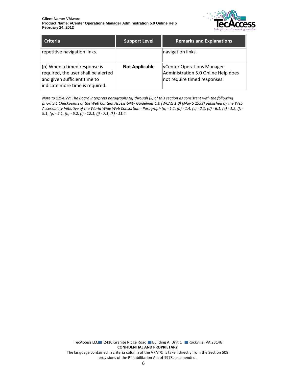

| <b>Criteria</b>                                                                                                                        | <b>Support Level</b>  | <b>Remarks and Explanations</b>                                                                          |
|----------------------------------------------------------------------------------------------------------------------------------------|-----------------------|----------------------------------------------------------------------------------------------------------|
| repetitive navigation links.                                                                                                           |                       | navigation links.                                                                                        |
| (p) When a timed response is<br>required, the user shall be alerted<br>and given sufficient time to<br>indicate more time is required. | <b>Not Applicable</b> | <b>VCenter Operations Manager</b><br>Administration 5.0 Online Help does<br>not require timed responses. |

*Note to 1194.22: The Board interprets paragraphs (a) through (k) of this section as consistent with the following priority 1 Checkpoints of the Web Content Accessibility Guidelines 1.0 (WCAG 1.0) (May 5 1999) published by the Web Accessibility Initiative of the World Wide Web Consortium: Paragraph (a) - 1.1, (b) - 1.4, (c) - 2.1, (d) - 6.1, (e) - 1.2, (f) - 9.1, (g) - 5.1, (h) - 5.2, (i) - 12.1, (j) - 7.1, (k) - 11.4.*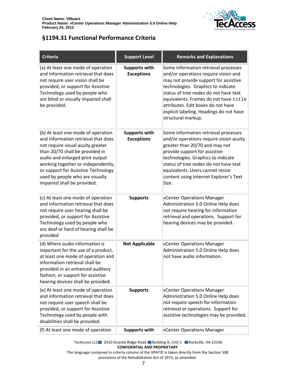

## <span id="page-6-0"></span>**§1194.31 Functional Performance Criteria**

| <b>Criteria</b>                                                                                                                                                                                                                                                                                                                     | <b>Support Level</b>                      | <b>Remarks and Explanations</b>                                                                                                                                                                                                                                                                                                                      |
|-------------------------------------------------------------------------------------------------------------------------------------------------------------------------------------------------------------------------------------------------------------------------------------------------------------------------------------|-------------------------------------------|------------------------------------------------------------------------------------------------------------------------------------------------------------------------------------------------------------------------------------------------------------------------------------------------------------------------------------------------------|
| (a) At least one mode of operation<br>and information retrieval that does<br>not require user vision shall be<br>provided, or support for Assistive<br>Technology used by people who<br>are blind or visually impaired shall<br>be provided.                                                                                        | <b>Supports with</b><br><b>Exceptions</b> | Some information retrieval processes<br>and/or operations require vision and<br>may not provide support for assistive<br>technologies. Graphics to indicate<br>status of tree nodes do not have text<br>equivalents. Frames do not have title<br>attributes. Edit boxes do not have<br>explicit labeling. Headings do not have<br>structural markup. |
| (b) At least one mode of operation<br>and information retrieval that does<br>not require visual acuity greater<br>than 20/70 shall be provided in<br>audio and enlarged print output<br>working together or independently,<br>or support for Assistive Technology<br>used by people who are visually<br>impaired shall be provided. | <b>Supports with</b><br><b>Exceptions</b> | Some information retrieval processes<br>and/or operations require vision acuity<br>greater than 20/70 and may not<br>provide support for assistive<br>technologies. Graphics to indicate<br>status of tree nodes do not have text<br>equivalents. Users cannot resize<br>content using Internet Explorer's Text<br>Size.                             |
| (c) At least one mode of operation<br>and information retrieval that does<br>not require user hearing shall be<br>provided, or support for Assistive<br>Technology used by people who<br>are deaf or hard of hearing shall be<br>provided                                                                                           | <b>Supports</b>                           | vCenter Operations Manager<br>Administration 5.0 Online Help does<br>not require hearing for information<br>retrieval and operations. Support for<br>hearing devices may be provided.                                                                                                                                                                |
| (d) Where audio information is<br>important for the use of a product,<br>at least one mode of operation and<br>information retrieval shall be<br>provided in an enhanced auditory<br>fashion, or support for assistive<br>hearing devices shall be provided.                                                                        | <b>Not Applicable</b>                     | vCenter Operations Manager<br>Administration 5.0 Online Help does<br>not have audio information.                                                                                                                                                                                                                                                     |
| (e) At least one mode of operation<br>and information retrieval that does<br>not require user speech shall be<br>provided, or support for Assistive<br>Technology used by people with<br>disabilities shall be provided.                                                                                                            | <b>Supports</b>                           | vCenter Operations Manager<br>Administration 5.0 Online Help does<br>not require speech for information<br>retrieval or operations. Support for<br>assistive technologies may be provided.                                                                                                                                                           |
| (f) At least one mode of operation                                                                                                                                                                                                                                                                                                  | <b>Supports with</b>                      | vCenter Operations Manager                                                                                                                                                                                                                                                                                                                           |

TecAccess LLC 2410 Granite Ridge Road Building A, Unit 1 Rockville, VA 23146 **CONFIDENTIAL AND PROPRIETARY**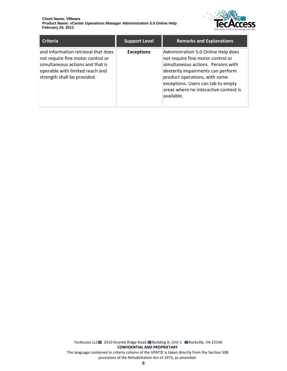

| <b>Criteria</b>                                                                                                                                                                | <b>Support Level</b> | <b>Remarks and Explanations</b>                                                                                                                                                                                                                                                    |
|--------------------------------------------------------------------------------------------------------------------------------------------------------------------------------|----------------------|------------------------------------------------------------------------------------------------------------------------------------------------------------------------------------------------------------------------------------------------------------------------------------|
| and information retrieval that does<br>not require fine motor control or<br>simultaneous actions and that is<br>operable with limited reach and<br>strength shall be provided. | <b>Exceptions</b>    | Administration 5.0 Online Help does<br>not require fine motor control or<br>simultaneous actions. Persons with<br>dexterity impairments can perform<br>product operations, with some<br>exceptions. Users can tab to empty<br>areas where no interactive content is<br>lavailable. |